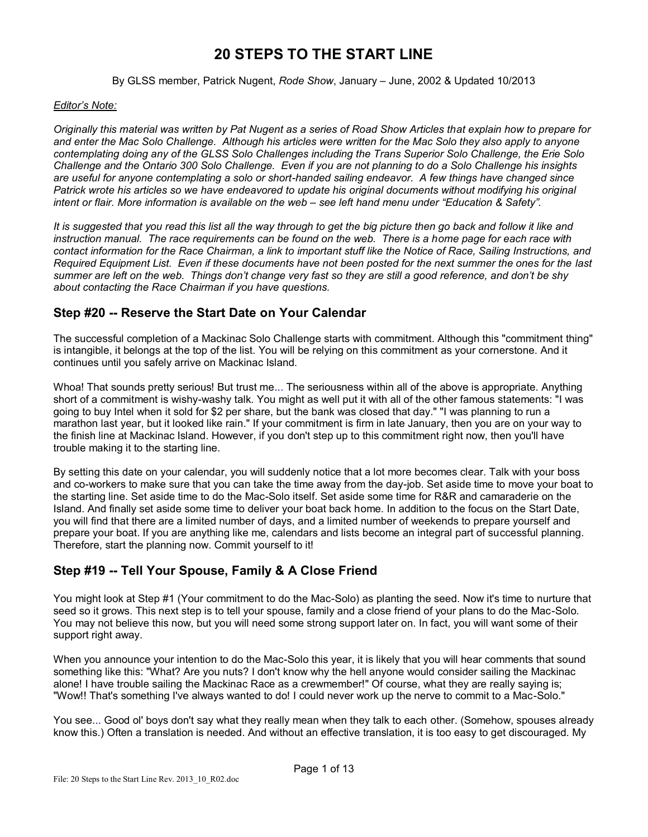# **20 STEPS TO THE START LINE**

#### By GLSS member, Patrick Nugent, *Rode Show*, January – June, 2002 & Updated 10/2013

#### *Editor's Note:*

*Originally this material was written by Pat Nugent as a series of Road Show Articles that explain how to prepare for and enter the Mac Solo Challenge. Although his articles were written for the Mac Solo they also apply to anyone contemplating doing any of the GLSS Solo Challenges including the Trans Superior Solo Challenge, the Erie Solo Challenge and the Ontario 300 Solo Challenge. Even if you are not planning to do a Solo Challenge his insights are useful for anyone contemplating a solo or short-handed sailing endeavor. A few things have changed since*  Patrick wrote his articles so we have endeavored to update his original documents without modifying his original *intent or flair. More information is available on the web – see left hand menu under "Education & Safety".*

*It is suggested that you read this list all the way through to get the big picture then go back and follow it like and instruction manual. The race requirements can be found on the web. There is a home page for each race with contact information for the Race Chairman, a link to important stuff like the Notice of Race, Sailing Instructions, and Required Equipment List. Even if these documents have not been posted for the next summer the ones for the last summer are left on the web. Things don't change very fast so they are still a good reference, and don't be shy about contacting the Race Chairman if you have questions.*

#### **Step #20 -- Reserve the Start Date on Your Calendar**

The successful completion of a Mackinac Solo Challenge starts with commitment. Although this "commitment thing" is intangible, it belongs at the top of the list. You will be relying on this commitment as your cornerstone. And it continues until you safely arrive on Mackinac Island.

Whoa! That sounds pretty serious! But trust me... The seriousness within all of the above is appropriate. Anything short of a commitment is wishy-washy talk. You might as well put it with all of the other famous statements: "I was going to buy Intel when it sold for \$2 per share, but the bank was closed that day." "I was planning to run a marathon last year, but it looked like rain." If your commitment is firm in late January, then you are on your way to the finish line at Mackinac Island. However, if you don't step up to this commitment right now, then you'll have trouble making it to the starting line.

By setting this date on your calendar, you will suddenly notice that a lot more becomes clear. Talk with your boss and co-workers to make sure that you can take the time away from the day-job. Set aside time to move your boat to the starting line. Set aside time to do the Mac-Solo itself. Set aside some time for R&R and camaraderie on the Island. And finally set aside some time to deliver your boat back home. In addition to the focus on the Start Date, you will find that there are a limited number of days, and a limited number of weekends to prepare yourself and prepare your boat. If you are anything like me, calendars and lists become an integral part of successful planning. Therefore, start the planning now. Commit yourself to it!

### **Step #19 -- Tell Your Spouse, Family & A Close Friend**

You might look at Step #1 (Your commitment to do the Mac-Solo) as planting the seed. Now it's time to nurture that seed so it grows. This next step is to tell your spouse, family and a close friend of your plans to do the Mac-Solo. You may not believe this now, but you will need some strong support later on. In fact, you will want some of their support right away.

When you announce your intention to do the Mac-Solo this year, it is likely that you will hear comments that sound something like this: "What? Are you nuts? I don't know why the hell anyone would consider sailing the Mackinac alone! I have trouble sailing the Mackinac Race as a crewmember!" Of course, what they are really saying is; "Wow!! That's something I've always wanted to do! I could never work up the nerve to commit to a Mac-Solo."

You see... Good ol' boys don't say what they really mean when they talk to each other. (Somehow, spouses already know this.) Often a translation is needed. And without an effective translation, it is too easy to get discouraged. My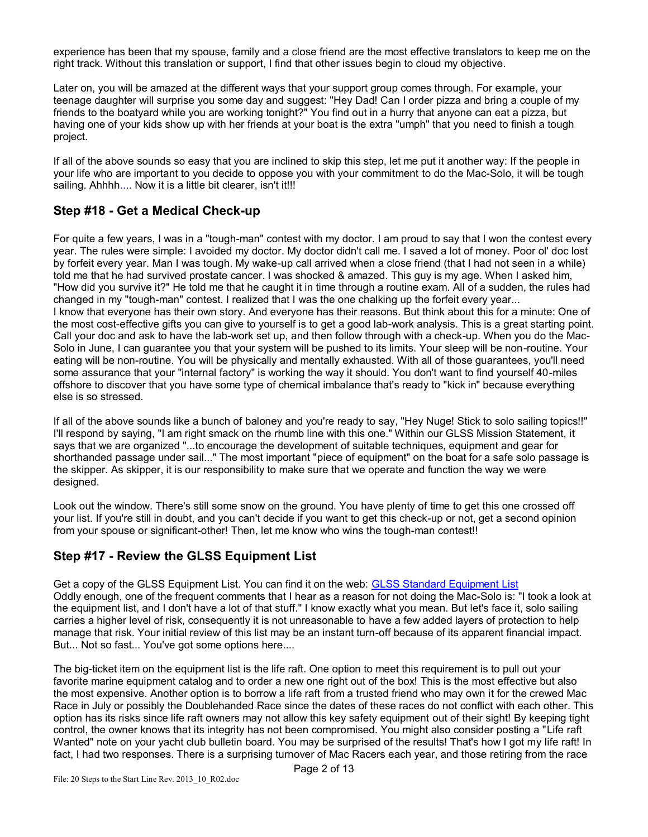experience has been that my spouse, family and a close friend are the most effective translators to keep me on the right track. Without this translation or support, I find that other issues begin to cloud my objective.

Later on, you will be amazed at the different ways that your support group comes through. For example, your teenage daughter will surprise you some day and suggest: "Hey Dad! Can I order pizza and bring a couple of my friends to the boatyard while you are working tonight?" You find out in a hurry that anyone can eat a pizza, but having one of your kids show up with her friends at your boat is the extra "umph" that you need to finish a tough project.

If all of the above sounds so easy that you are inclined to skip this step, let me put it another way: If the people in your life who are important to you decide to oppose you with your commitment to do the Mac-Solo, it will be tough sailing. Ahhhh.... Now it is a little bit clearer, isn't it!!!

### **Step #18 - Get a Medical Check-up**

For quite a few years, I was in a "tough-man" contest with my doctor. I am proud to say that I won the contest every year. The rules were simple: I avoided my doctor. My doctor didn't call me. I saved a lot of money. Poor ol' doc lost by forfeit every year. Man I was tough. My wake-up call arrived when a close friend (that I had not seen in a while) told me that he had survived prostate cancer. I was shocked & amazed. This guy is my age. When I asked him, "How did you survive it?" He told me that he caught it in time through a routine exam. All of a sudden, the rules had changed in my "tough-man" contest. I realized that I was the one chalking up the forfeit every year... I know that everyone has their own story. And everyone has their reasons. But think about this for a minute: One of the most cost-effective gifts you can give to yourself is to get a good lab-work analysis. This is a great starting point. Call your doc and ask to have the lab-work set up, and then follow through with a check-up. When you do the Mac-Solo in June, I can guarantee you that your system will be pushed to its limits. Your sleep will be non-routine. Your eating will be non-routine. You will be physically and mentally exhausted. With all of those guarantees, you'll need some assurance that your "internal factory" is working the way it should. You don't want to find yourself 40-miles offshore to discover that you have some type of chemical imbalance that's ready to "kick in" because everything else is so stressed.

If all of the above sounds like a bunch of baloney and you're ready to say, "Hey Nuge! Stick to solo sailing topics!!" I'll respond by saying, "I am right smack on the rhumb line with this one." Within our GLSS Mission Statement, it says that we are organized "...to encourage the development of suitable techniques, equipment and gear for shorthanded passage under sail..." The most important "piece of equipment" on the boat for a safe solo passage is the skipper. As skipper, it is our responsibility to make sure that we operate and function the way we were designed.

Look out the window. There's still some snow on the ground. You have plenty of time to get this one crossed off your list. If you're still in doubt, and you can't decide if you want to get this check-up or not, get a second opinion from your spouse or significant-other! Then, let me know who wins the tough-man contest!!

### **Step #17 - Review the GLSS Equipment List**

Get a copy of the GLSS Equipment List. You can find it on the web: [GLSS Standard Equipment List](http://www.solosailor.org/pdfs/Std_GLSSRequiredEquip.pdf)  Oddly enough, one of the frequent comments that I hear as a reason for not doing the Mac-Solo is: "I took a look at the equipment list, and I don't have a lot of that stuff." I know exactly what you mean. But let's face it, solo sailing carries a higher level of risk, consequently it is not unreasonable to have a few added layers of protection to help manage that risk. Your initial review of this list may be an instant turn-off because of its apparent financial impact. But... Not so fast... You've got some options here....

The big-ticket item on the equipment list is the life raft. One option to meet this requirement is to pull out your favorite marine equipment catalog and to order a new one right out of the box! This is the most effective but also the most expensive. Another option is to borrow a life raft from a trusted friend who may own it for the crewed Mac Race in July or possibly the Doublehanded Race since the dates of these races do not conflict with each other. This option has its risks since life raft owners may not allow this key safety equipment out of their sight! By keeping tight control, the owner knows that its integrity has not been compromised. You might also consider posting a "Life raft Wanted" note on your yacht club bulletin board. You may be surprised of the results! That's how I got my life raft! In fact, I had two responses. There is a surprising turnover of Mac Racers each year, and those retiring from the race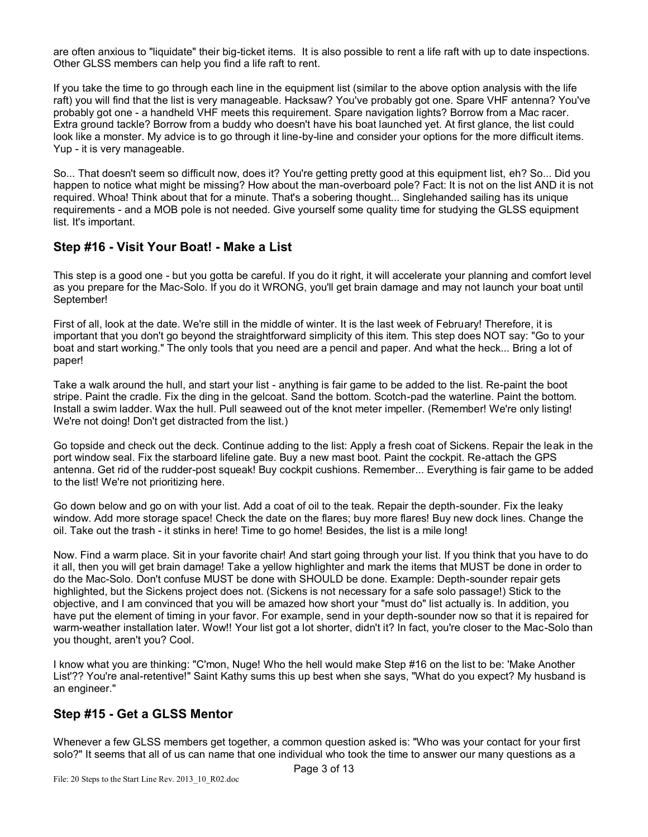are often anxious to "liquidate" their big-ticket items. It is also possible to rent a life raft with up to date inspections. Other GLSS members can help you find a life raft to rent.

If you take the time to go through each line in the equipment list (similar to the above option analysis with the life raft) you will find that the list is very manageable. Hacksaw? You've probably got one. Spare VHF antenna? You've probably got one - a handheld VHF meets this requirement. Spare navigation lights? Borrow from a Mac racer. Extra ground tackle? Borrow from a buddy who doesn't have his boat launched yet. At first glance, the list could look like a monster. My advice is to go through it line-by-line and consider your options for the more difficult items. Yup - it is very manageable.

So... That doesn't seem so difficult now, does it? You're getting pretty good at this equipment list, eh? So... Did you happen to notice what might be missing? How about the man-overboard pole? Fact: It is not on the list AND it is not required. Whoa! Think about that for a minute. That's a sobering thought... Singlehanded sailing has its unique requirements - and a MOB pole is not needed. Give yourself some quality time for studying the GLSS equipment list. It's important.

### **Step #16 - Visit Your Boat! - Make a List**

This step is a good one - but you gotta be careful. If you do it right, it will accelerate your planning and comfort level as you prepare for the Mac-Solo. If you do it WRONG, you'll get brain damage and may not launch your boat until September!

First of all, look at the date. We're still in the middle of winter. It is the last week of February! Therefore, it is important that you don't go beyond the straightforward simplicity of this item. This step does NOT say: "Go to your boat and start working." The only tools that you need are a pencil and paper. And what the heck... Bring a lot of paper!

Take a walk around the hull, and start your list - anything is fair game to be added to the list. Re-paint the boot stripe. Paint the cradle. Fix the ding in the gelcoat. Sand the bottom. Scotch-pad the waterline. Paint the bottom. Install a swim ladder. Wax the hull. Pull seaweed out of the knot meter impeller. (Remember! We're only listing! We're not doing! Don't get distracted from the list.)

Go topside and check out the deck. Continue adding to the list: Apply a fresh coat of Sickens. Repair the leak in the port window seal. Fix the starboard lifeline gate. Buy a new mast boot. Paint the cockpit. Re-attach the GPS antenna. Get rid of the rudder-post squeak! Buy cockpit cushions. Remember... Everything is fair game to be added to the list! We're not prioritizing here.

Go down below and go on with your list. Add a coat of oil to the teak. Repair the depth-sounder. Fix the leaky window. Add more storage space! Check the date on the flares; buy more flares! Buy new dock lines. Change the oil. Take out the trash - it stinks in here! Time to go home! Besides, the list is a mile long!

Now. Find a warm place. Sit in your favorite chair! And start going through your list. If you think that you have to do it all, then you will get brain damage! Take a yellow highlighter and mark the items that MUST be done in order to do the Mac-Solo. Don't confuse MUST be done with SHOULD be done. Example: Depth-sounder repair gets highlighted, but the Sickens project does not. (Sickens is not necessary for a safe solo passage!) Stick to the objective, and I am convinced that you will be amazed how short your "must do" list actually is. In addition, you have put the element of timing in your favor. For example, send in your depth-sounder now so that it is repaired for warm-weather installation later. Wow!! Your list got a lot shorter, didn't it? In fact, you're closer to the Mac-Solo than you thought, aren't you? Cool.

I know what you are thinking: "C'mon, Nuge! Who the hell would make Step #16 on the list to be: 'Make Another List'?? You're anal-retentive!" Saint Kathy sums this up best when she says, "What do you expect? My husband is an engineer."

### **Step #15 - Get a GLSS Mentor**

Whenever a few GLSS members get together, a common question asked is: "Who was your contact for your first solo?" It seems that all of us can name that one individual who took the time to answer our many questions as a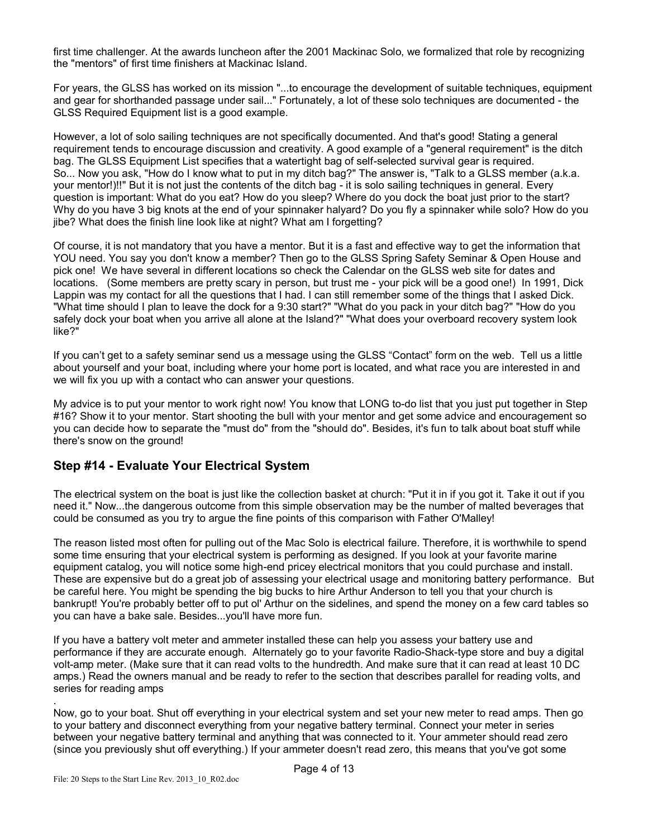first time challenger. At the awards luncheon after the 2001 Mackinac Solo, we formalized that role by recognizing the "mentors" of first time finishers at Mackinac Island.

For years, the GLSS has worked on its mission "...to encourage the development of suitable techniques, equipment and gear for shorthanded passage under sail..." Fortunately, a lot of these solo techniques are documented - the GLSS Required Equipment list is a good example.

However, a lot of solo sailing techniques are not specifically documented. And that's good! Stating a general requirement tends to encourage discussion and creativity. A good example of a "general requirement" is the ditch bag. The GLSS Equipment List specifies that a watertight bag of self-selected survival gear is required. So... Now you ask, "How do I know what to put in my ditch bag?" The answer is, "Talk to a GLSS member (a.k.a. your mentor!)!!" But it is not just the contents of the ditch bag - it is solo sailing techniques in general. Every question is important: What do you eat? How do you sleep? Where do you dock the boat just prior to the start? Why do you have 3 big knots at the end of your spinnaker halyard? Do you fly a spinnaker while solo? How do you jibe? What does the finish line look like at night? What am I forgetting?

Of course, it is not mandatory that you have a mentor. But it is a fast and effective way to get the information that YOU need. You say you don't know a member? Then go to the GLSS Spring Safety Seminar & Open House and pick one! We have several in different locations so check the Calendar on the GLSS web site for dates and locations. (Some members are pretty scary in person, but trust me - your pick will be a good one!) In 1991, Dick Lappin was my contact for all the questions that I had. I can still remember some of the things that I asked Dick. "What time should I plan to leave the dock for a 9:30 start?" "What do you pack in your ditch bag?" "How do you safely dock your boat when you arrive all alone at the Island?" "What does your overboard recovery system look like?"

If you can't get to a safety seminar send us a message using the GLSS "Contact" form on the web. Tell us a little about yourself and your boat, including where your home port is located, and what race you are interested in and we will fix you up with a contact who can answer your questions.

My advice is to put your mentor to work right now! You know that LONG to-do list that you just put together in Step #16? Show it to your mentor. Start shooting the bull with your mentor and get some advice and encouragement so you can decide how to separate the "must do" from the "should do". Besides, it's fun to talk about boat stuff while there's snow on the ground!

### **Step #14 - Evaluate Your Electrical System**

The electrical system on the boat is just like the collection basket at church: "Put it in if you got it. Take it out if you need it." Now...the dangerous outcome from this simple observation may be the number of malted beverages that could be consumed as you try to argue the fine points of this comparison with Father O'Malley!

The reason listed most often for pulling out of the Mac Solo is electrical failure. Therefore, it is worthwhile to spend some time ensuring that your electrical system is performing as designed. If you look at your favorite marine equipment catalog, you will notice some high-end pricey electrical monitors that you could purchase and install. These are expensive but do a great job of assessing your electrical usage and monitoring battery performance. But be careful here. You might be spending the big bucks to hire Arthur Anderson to tell you that your church is bankrupt! You're probably better off to put ol' Arthur on the sidelines, and spend the money on a few card tables so you can have a bake sale. Besides...you'll have more fun.

If you have a battery volt meter and ammeter installed these can help you assess your battery use and performance if they are accurate enough. Alternately go to your favorite Radio-Shack-type store and buy a digital volt-amp meter. (Make sure that it can read volts to the hundredth. And make sure that it can read at least 10 DC amps.) Read the owners manual and be ready to refer to the section that describes parallel for reading volts, and series for reading amps

. Now, go to your boat. Shut off everything in your electrical system and set your new meter to read amps. Then go to your battery and disconnect everything from your negative battery terminal. Connect your meter in series between your negative battery terminal and anything that was connected to it. Your ammeter should read zero (since you previously shut off everything.) If your ammeter doesn't read zero, this means that you've got some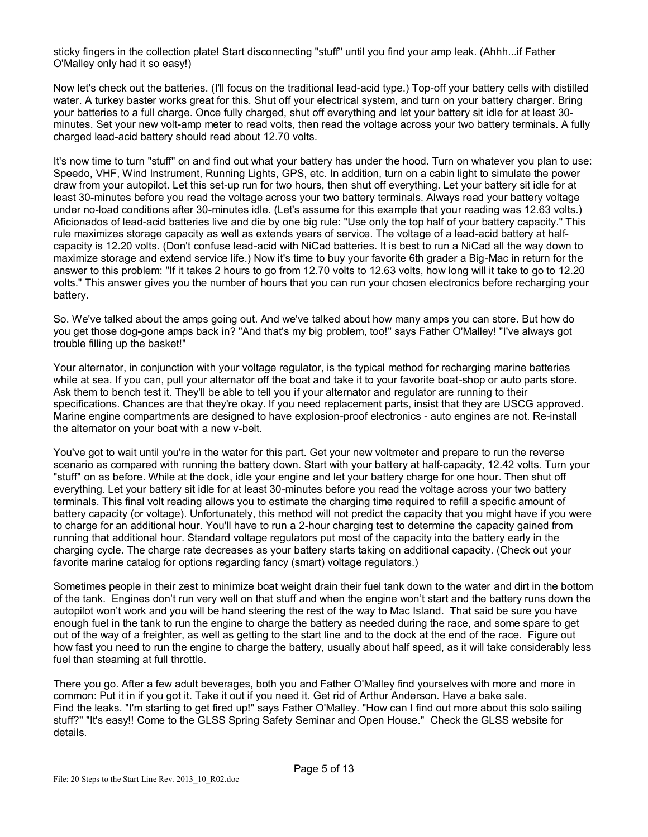sticky fingers in the collection plate! Start disconnecting "stuff" until you find your amp leak. (Ahhh...if Father O'Malley only had it so easy!)

Now let's check out the batteries. (I'll focus on the traditional lead-acid type.) Top-off your battery cells with distilled water. A turkey baster works great for this. Shut off your electrical system, and turn on your battery charger. Bring your batteries to a full charge. Once fully charged, shut off everything and let your battery sit idle for at least 30 minutes. Set your new volt-amp meter to read volts, then read the voltage across your two battery terminals. A fully charged lead-acid battery should read about 12.70 volts.

It's now time to turn "stuff" on and find out what your battery has under the hood. Turn on whatever you plan to use: Speedo, VHF, Wind Instrument, Running Lights, GPS, etc. In addition, turn on a cabin light to simulate the power draw from your autopilot. Let this set-up run for two hours, then shut off everything. Let your battery sit idle for at least 30-minutes before you read the voltage across your two battery terminals. Always read your battery voltage under no-load conditions after 30-minutes idle. (Let's assume for this example that your reading was 12.63 volts.) Aficionados of lead-acid batteries live and die by one big rule: "Use only the top half of your battery capacity." This rule maximizes storage capacity as well as extends years of service. The voltage of a lead-acid battery at halfcapacity is 12.20 volts. (Don't confuse lead-acid with NiCad batteries. It is best to run a NiCad all the way down to maximize storage and extend service life.) Now it's time to buy your favorite 6th grader a Big-Mac in return for the answer to this problem: "If it takes 2 hours to go from 12.70 volts to 12.63 volts, how long will it take to go to 12.20 volts." This answer gives you the number of hours that you can run your chosen electronics before recharging your battery.

So. We've talked about the amps going out. And we've talked about how many amps you can store. But how do you get those dog-gone amps back in? "And that's my big problem, too!" says Father O'Malley! "I've always got trouble filling up the basket!"

Your alternator, in conjunction with your voltage regulator, is the typical method for recharging marine batteries while at sea. If you can, pull your alternator off the boat and take it to your favorite boat-shop or auto parts store. Ask them to bench test it. They'll be able to tell you if your alternator and regulator are running to their specifications. Chances are that they're okay. If you need replacement parts, insist that they are USCG approved. Marine engine compartments are designed to have explosion-proof electronics - auto engines are not. Re-install the alternator on your boat with a new v-belt.

You've got to wait until you're in the water for this part. Get your new voltmeter and prepare to run the reverse scenario as compared with running the battery down. Start with your battery at half-capacity, 12.42 volts. Turn your "stuff" on as before. While at the dock, idle your engine and let your battery charge for one hour. Then shut off everything. Let your battery sit idle for at least 30-minutes before you read the voltage across your two battery terminals. This final volt reading allows you to estimate the charging time required to refill a specific amount of battery capacity (or voltage). Unfortunately, this method will not predict the capacity that you might have if you were to charge for an additional hour. You'll have to run a 2-hour charging test to determine the capacity gained from running that additional hour. Standard voltage regulators put most of the capacity into the battery early in the charging cycle. The charge rate decreases as your battery starts taking on additional capacity. (Check out your favorite marine catalog for options regarding fancy (smart) voltage regulators.)

Sometimes people in their zest to minimize boat weight drain their fuel tank down to the water and dirt in the bottom of the tank. Engines don't run very well on that stuff and when the engine won't start and the battery runs down the autopilot won't work and you will be hand steering the rest of the way to Mac Island. That said be sure you have enough fuel in the tank to run the engine to charge the battery as needed during the race, and some spare to get out of the way of a freighter, as well as getting to the start line and to the dock at the end of the race. Figure out how fast you need to run the engine to charge the battery, usually about half speed, as it will take considerably less fuel than steaming at full throttle.

There you go. After a few adult beverages, both you and Father O'Malley find yourselves with more and more in common: Put it in if you got it. Take it out if you need it. Get rid of Arthur Anderson. Have a bake sale. Find the leaks. "I'm starting to get fired up!" says Father O'Malley. "How can I find out more about this solo sailing stuff?" "It's easy!! Come to the GLSS Spring Safety Seminar and Open House." Check the GLSS website for details.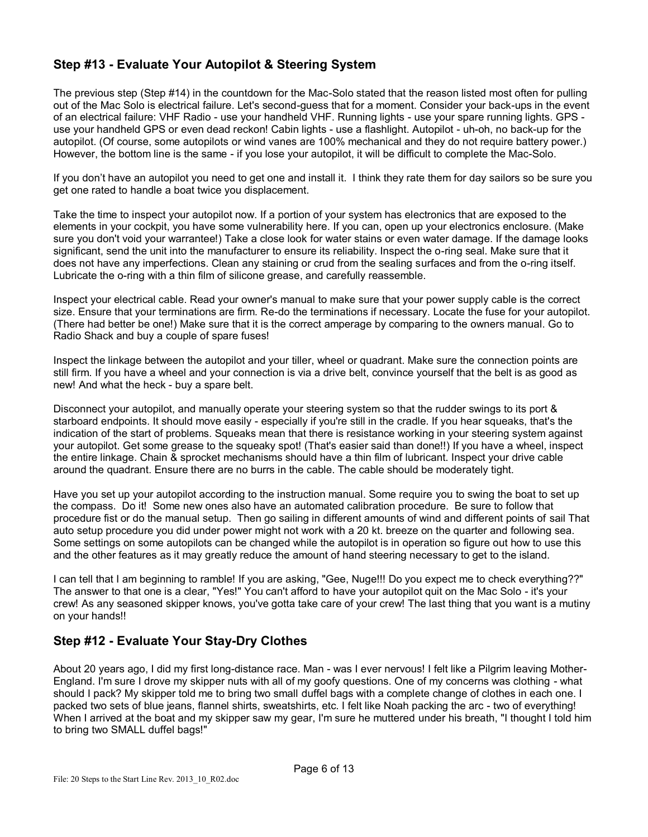# **Step #13 - Evaluate Your Autopilot & Steering System**

The previous step (Step #14) in the countdown for the Mac-Solo stated that the reason listed most often for pulling out of the Mac Solo is electrical failure. Let's second-guess that for a moment. Consider your back-ups in the event of an electrical failure: VHF Radio - use your handheld VHF. Running lights - use your spare running lights. GPS use your handheld GPS or even dead reckon! Cabin lights - use a flashlight. Autopilot - uh-oh, no back-up for the autopilot. (Of course, some autopilots or wind vanes are 100% mechanical and they do not require battery power.) However, the bottom line is the same - if you lose your autopilot, it will be difficult to complete the Mac-Solo.

If you don't have an autopilot you need to get one and install it. I think they rate them for day sailors so be sure you get one rated to handle a boat twice you displacement.

Take the time to inspect your autopilot now. If a portion of your system has electronics that are exposed to the elements in your cockpit, you have some vulnerability here. If you can, open up your electronics enclosure. (Make sure you don't void your warrantee!) Take a close look for water stains or even water damage. If the damage looks significant, send the unit into the manufacturer to ensure its reliability. Inspect the o-ring seal. Make sure that it does not have any imperfections. Clean any staining or crud from the sealing surfaces and from the o-ring itself. Lubricate the o-ring with a thin film of silicone grease, and carefully reassemble.

Inspect your electrical cable. Read your owner's manual to make sure that your power supply cable is the correct size. Ensure that your terminations are firm. Re-do the terminations if necessary. Locate the fuse for your autopilot. (There had better be one!) Make sure that it is the correct amperage by comparing to the owners manual. Go to Radio Shack and buy a couple of spare fuses!

Inspect the linkage between the autopilot and your tiller, wheel or quadrant. Make sure the connection points are still firm. If you have a wheel and your connection is via a drive belt, convince yourself that the belt is as good as new! And what the heck - buy a spare belt.

Disconnect your autopilot, and manually operate your steering system so that the rudder swings to its port & starboard endpoints. It should move easily - especially if you're still in the cradle. If you hear squeaks, that's the indication of the start of problems. Squeaks mean that there is resistance working in your steering system against your autopilot. Get some grease to the squeaky spot! (That's easier said than done!!) If you have a wheel, inspect the entire linkage. Chain & sprocket mechanisms should have a thin film of lubricant. Inspect your drive cable around the quadrant. Ensure there are no burrs in the cable. The cable should be moderately tight.

Have you set up your autopilot according to the instruction manual. Some require you to swing the boat to set up the compass. Do it! Some new ones also have an automated calibration procedure. Be sure to follow that procedure fist or do the manual setup. Then go sailing in different amounts of wind and different points of sail That auto setup procedure you did under power might not work with a 20 kt. breeze on the quarter and following sea. Some settings on some autopilots can be changed while the autopilot is in operation so figure out how to use this and the other features as it may greatly reduce the amount of hand steering necessary to get to the island.

I can tell that I am beginning to ramble! If you are asking, "Gee, Nuge!!! Do you expect me to check everything??" The answer to that one is a clear, "Yes!" You can't afford to have your autopilot quit on the Mac Solo - it's your crew! As any seasoned skipper knows, you've gotta take care of your crew! The last thing that you want is a mutiny on your hands!!

# **Step #12 - Evaluate Your Stay-Dry Clothes**

About 20 years ago, I did my first long-distance race. Man - was I ever nervous! I felt like a Pilgrim leaving Mother-England. I'm sure I drove my skipper nuts with all of my goofy questions. One of my concerns was clothing - what should I pack? My skipper told me to bring two small duffel bags with a complete change of clothes in each one. I packed two sets of blue jeans, flannel shirts, sweatshirts, etc. I felt like Noah packing the arc - two of everything! When I arrived at the boat and my skipper saw my gear, I'm sure he muttered under his breath, "I thought I told him to bring two SMALL duffel bags!"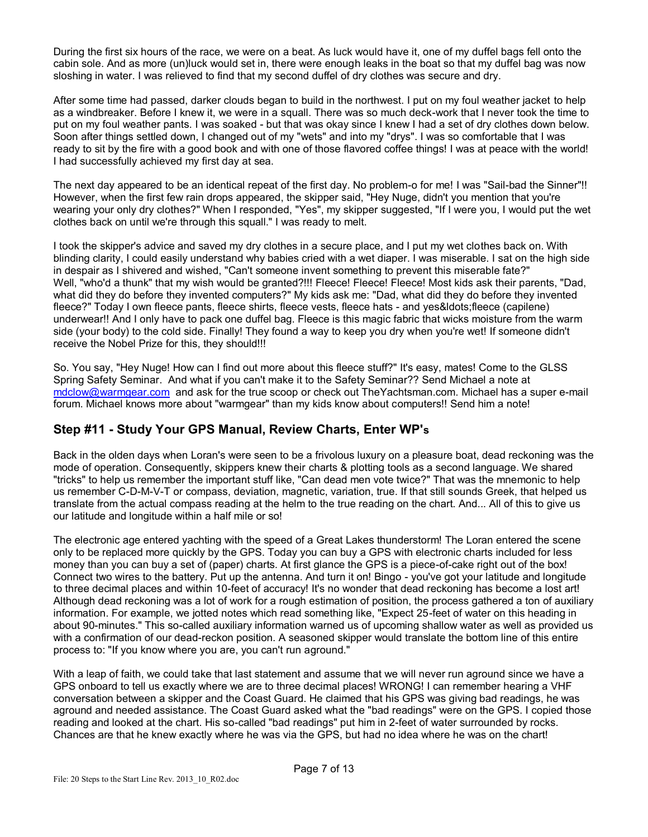During the first six hours of the race, we were on a beat. As luck would have it, one of my duffel bags fell onto the cabin sole. And as more (un)luck would set in, there were enough leaks in the boat so that my duffel bag was now sloshing in water. I was relieved to find that my second duffel of dry clothes was secure and dry.

After some time had passed, darker clouds began to build in the northwest. I put on my foul weather jacket to help as a windbreaker. Before I knew it, we were in a squall. There was so much deck-work that I never took the time to put on my foul weather pants. I was soaked - but that was okay since I knew I had a set of dry clothes down below. Soon after things settled down, I changed out of my "wets" and into my "drys". I was so comfortable that I was ready to sit by the fire with a good book and with one of those flavored coffee things! I was at peace with the world! I had successfully achieved my first day at sea.

The next day appeared to be an identical repeat of the first day. No problem-o for me! I was "Sail-bad the Sinner"!! However, when the first few rain drops appeared, the skipper said, "Hey Nuge, didn't you mention that you're wearing your only dry clothes?" When I responded, "Yes", my skipper suggested, "If I were you, I would put the wet clothes back on until we're through this squall." I was ready to melt.

I took the skipper's advice and saved my dry clothes in a secure place, and I put my wet clothes back on. With blinding clarity, I could easily understand why babies cried with a wet diaper. I was miserable. I sat on the high side in despair as I shivered and wished, "Can't someone invent something to prevent this miserable fate?" Well, "who'd a thunk" that my wish would be granted?!!! Fleece! Fleece! Fleece! Most kids ask their parents, "Dad, what did they do before they invented computers?" My kids ask me: "Dad, what did they do before they invented fleece?" Today I own fleece pants, fleece shirts, fleece vests, fleece hats - and yes&ldots;fleece (capilene) underwear!! And I only have to pack one duffel bag. Fleece is this magic fabric that wicks moisture from the warm side (your body) to the cold side. Finally! They found a way to keep you dry when you're wet! If someone didn't receive the Nobel Prize for this, they should!!!

So. You say, "Hey Nuge! How can I find out more about this fleece stuff?" It's easy, mates! Come to the GLSS Spring Safety Seminar. And what if you can't make it to the Safety Seminar?? Send Michael a note at [mdclow@warmgear.com](mailto:mdclow@warmgear.com) and ask for the true scoop or check out TheYachtsman.com. Michael has a super e-mail forum. Michael knows more about "warmgear" than my kids know about computers!! Send him a note!

### **Step #11 - Study Your GPS Manual, Review Charts, Enter WP's**

Back in the olden days when Loran's were seen to be a frivolous luxury on a pleasure boat, dead reckoning was the mode of operation. Consequently, skippers knew their charts & plotting tools as a second language. We shared "tricks" to help us remember the important stuff like, "Can dead men vote twice?" That was the mnemonic to help us remember C-D-M-V-T or compass, deviation, magnetic, variation, true. If that still sounds Greek, that helped us translate from the actual compass reading at the helm to the true reading on the chart. And... All of this to give us our latitude and longitude within a half mile or so!

The electronic age entered yachting with the speed of a Great Lakes thunderstorm! The Loran entered the scene only to be replaced more quickly by the GPS. Today you can buy a GPS with electronic charts included for less money than you can buy a set of (paper) charts. At first glance the GPS is a piece-of-cake right out of the box! Connect two wires to the battery. Put up the antenna. And turn it on! Bingo - you've got your latitude and longitude to three decimal places and within 10-feet of accuracy! It's no wonder that dead reckoning has become a lost art! Although dead reckoning was a lot of work for a rough estimation of position, the process gathered a ton of auxiliary information. For example, we jotted notes which read something like, "Expect 25-feet of water on this heading in about 90-minutes." This so-called auxiliary information warned us of upcoming shallow water as well as provided us with a confirmation of our dead-reckon position. A seasoned skipper would translate the bottom line of this entire process to: "If you know where you are, you can't run aground."

With a leap of faith, we could take that last statement and assume that we will never run aground since we have a GPS onboard to tell us exactly where we are to three decimal places! WRONG! I can remember hearing a VHF conversation between a skipper and the Coast Guard. He claimed that his GPS was giving bad readings, he was aground and needed assistance. The Coast Guard asked what the "bad readings" were on the GPS. I copied those reading and looked at the chart. His so-called "bad readings" put him in 2-feet of water surrounded by rocks. Chances are that he knew exactly where he was via the GPS, but had no idea where he was on the chart!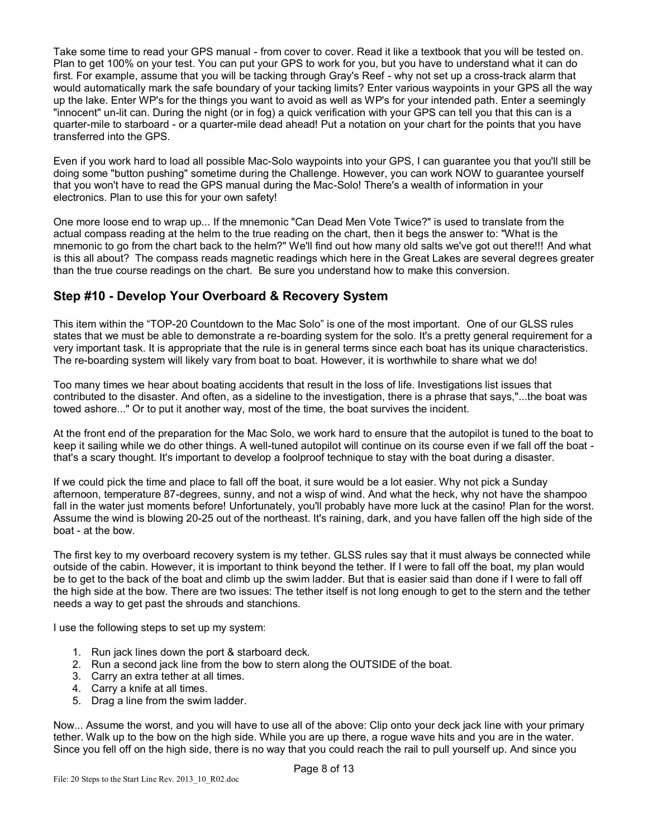Take some time to read your GPS manual - from cover to cover. Read it like a textbook that you will be tested on. Plan to get 100% on your test. You can put your GPS to work for you, but you have to understand what it can do first. For example, assume that you will be tacking through Gray's Reef - why not set up a cross-track alarm that would automatically mark the safe boundary of your tacking limits? Enter various waypoints in your GPS all the way up the lake. Enter WP's for the things you want to avoid as well as WP's for your intended path. Enter a seemingly "innocent" un-lit can. During the night (or in fog) a quick verification with your GPS can tell you that this can is a quarter-mile to starboard - or a quarter-mile dead ahead! Put a notation on your chart for the points that you have transferred into the GPS.

Even if you work hard to load all possible Mac-Solo waypoints into your GPS, I can guarantee you that you'll still be doing some "button pushing" sometime during the Challenge. However, you can work NOW to guarantee yourself that you won't have to read the GPS manual during the Mac-Solo! There's a wealth of information in your electronics. Plan to use this for your own safety!

One more loose end to wrap up... If the mnemonic "Can Dead Men Vote Twice?" is used to translate from the actual compass reading at the helm to the true reading on the chart, then it begs the answer to: "What is the mnemonic to go from the chart back to the helm?" We'll find out how many old salts we've got out there!!! And what is this all about? The compass reads magnetic readings which here in the Great Lakes are several degrees greater than the true course readings on the chart. Be sure you understand how to make this conversion.

### **Step #10 - Develop Your Overboard & Recovery System**

This item within the "TOP-20 Countdown to the Mac Solo" is one of the most important. One of our GLSS rules states that we must be able to demonstrate a re-boarding system for the solo. It's a pretty general requirement for a very important task. It is appropriate that the rule is in general terms since each boat has its unique characteristics. The re-boarding system will likely vary from boat to boat. However, it is worthwhile to share what we do!

Too many times we hear about boating accidents that result in the loss of life. Investigations list issues that contributed to the disaster. And often, as a sideline to the investigation, there is a phrase that says,"...the boat was towed ashore..." Or to put it another way, most of the time, the boat survives the incident.

At the front end of the preparation for the Mac Solo, we work hard to ensure that the autopilot is tuned to the boat to keep it sailing while we do other things. A well-tuned autopilot will continue on its course even if we fall off the boat that's a scary thought. It's important to develop a foolproof technique to stay with the boat during a disaster.

If we could pick the time and place to fall off the boat, it sure would be a lot easier. Why not pick a Sunday afternoon, temperature 87-degrees, sunny, and not a wisp of wind. And what the heck, why not have the shampoo fall in the water just moments before! Unfortunately, you'll probably have more luck at the casino! Plan for the worst. Assume the wind is blowing 20-25 out of the northeast. It's raining, dark, and you have fallen off the high side of the boat - at the bow.

The first key to my overboard recovery system is my tether. GLSS rules say that it must always be connected while outside of the cabin. However, it is important to think beyond the tether. If I were to fall off the boat, my plan would be to get to the back of the boat and climb up the swim ladder. But that is easier said than done if I were to fall off the high side at the bow. There are two issues: The tether itself is not long enough to get to the stern and the tether needs a way to get past the shrouds and stanchions.

I use the following steps to set up my system:

- 1. Run jack lines down the port & starboard deck.
- 2. Run a second jack line from the bow to stern along the OUTSIDE of the boat.
- 3. Carry an extra tether at all times.
- 4. Carry a knife at all times.
- 5. Drag a line from the swim ladder.

Now... Assume the worst, and you will have to use all of the above: Clip onto your deck jack line with your primary tether. Walk up to the bow on the high side. While you are up there, a rogue wave hits and you are in the water. Since you fell off on the high side, there is no way that you could reach the rail to pull yourself up. And since you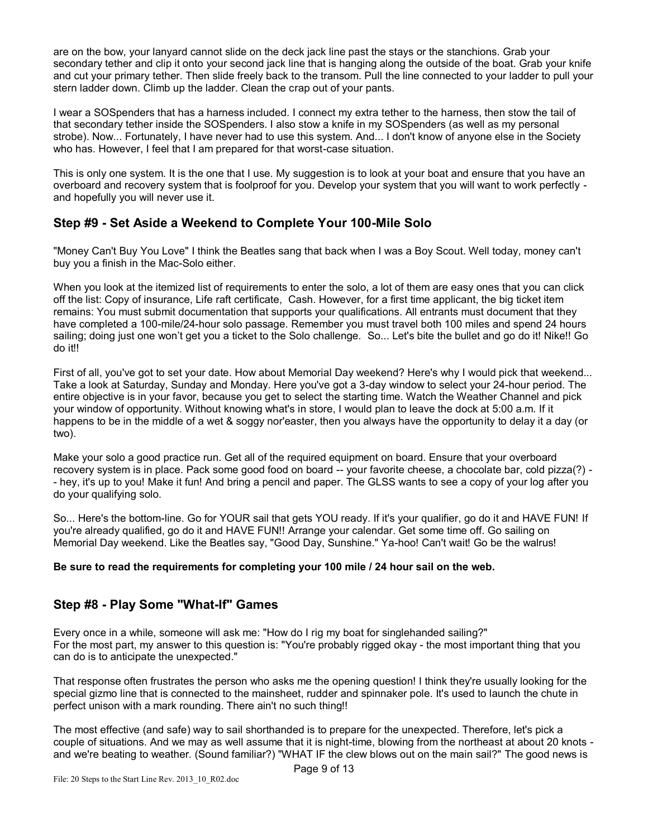are on the bow, your lanyard cannot slide on the deck jack line past the stays or the stanchions. Grab your secondary tether and clip it onto your second jack line that is hanging along the outside of the boat. Grab your knife and cut your primary tether. Then slide freely back to the transom. Pull the line connected to your ladder to pull your stern ladder down. Climb up the ladder. Clean the crap out of your pants.

I wear a SOSpenders that has a harness included. I connect my extra tether to the harness, then stow the tail of that secondary tether inside the SOSpenders. I also stow a knife in my SOSpenders (as well as my personal strobe). Now... Fortunately, I have never had to use this system. And... I don't know of anyone else in the Society who has. However, I feel that I am prepared for that worst-case situation.

This is only one system. It is the one that I use. My suggestion is to look at your boat and ensure that you have an overboard and recovery system that is foolproof for you. Develop your system that you will want to work perfectly and hopefully you will never use it.

### **Step #9 - Set Aside a Weekend to Complete Your 100-Mile Solo**

"Money Can't Buy You Love" I think the Beatles sang that back when I was a Boy Scout. Well today, money can't buy you a finish in the Mac-Solo either.

When you look at the itemized list of requirements to enter the solo, a lot of them are easy ones that you can click off the list: Copy of insurance, Life raft certificate, Cash. However, for a first time applicant, the big ticket item remains: You must submit documentation that supports your qualifications. All entrants must document that they have completed a 100-mile/24-hour solo passage. Remember you must travel both 100 miles and spend 24 hours sailing; doing just one won't get you a ticket to the Solo challenge. So... Let's bite the bullet and go do it! Nike!! Go do it!!

First of all, you've got to set your date. How about Memorial Day weekend? Here's why I would pick that weekend... Take a look at Saturday, Sunday and Monday. Here you've got a 3-day window to select your 24-hour period. The entire objective is in your favor, because you get to select the starting time. Watch the Weather Channel and pick your window of opportunity. Without knowing what's in store, I would plan to leave the dock at 5:00 a.m. If it happens to be in the middle of a wet & soggy nor'easter, then you always have the opportunity to delay it a day (or two).

Make your solo a good practice run. Get all of the required equipment on board. Ensure that your overboard recovery system is in place. Pack some good food on board -- your favorite cheese, a chocolate bar, cold pizza(?) - - hey, it's up to you! Make it fun! And bring a pencil and paper. The GLSS wants to see a copy of your log after you do your qualifying solo.

So... Here's the bottom-line. Go for YOUR sail that gets YOU ready. If it's your qualifier, go do it and HAVE FUN! If you're already qualified, go do it and HAVE FUN!! Arrange your calendar. Get some time off. Go sailing on Memorial Day weekend. Like the Beatles say, "Good Day, Sunshine." Ya-hoo! Can't wait! Go be the walrus!

#### **Be sure to read the requirements for completing your 100 mile / 24 hour sail on the web.**

### **Step #8 - Play Some "What-If" Games**

Every once in a while, someone will ask me: "How do I rig my boat for singlehanded sailing?" For the most part, my answer to this question is: "You're probably rigged okay - the most important thing that you can do is to anticipate the unexpected."

That response often frustrates the person who asks me the opening question! I think they're usually looking for the special gizmo line that is connected to the mainsheet, rudder and spinnaker pole. It's used to launch the chute in perfect unison with a mark rounding. There ain't no such thing!!

The most effective (and safe) way to sail shorthanded is to prepare for the unexpected. Therefore, let's pick a couple of situations. And we may as well assume that it is night-time, blowing from the northeast at about 20 knots and we're beating to weather. (Sound familiar?) "WHAT IF the clew blows out on the main sail?" The good news is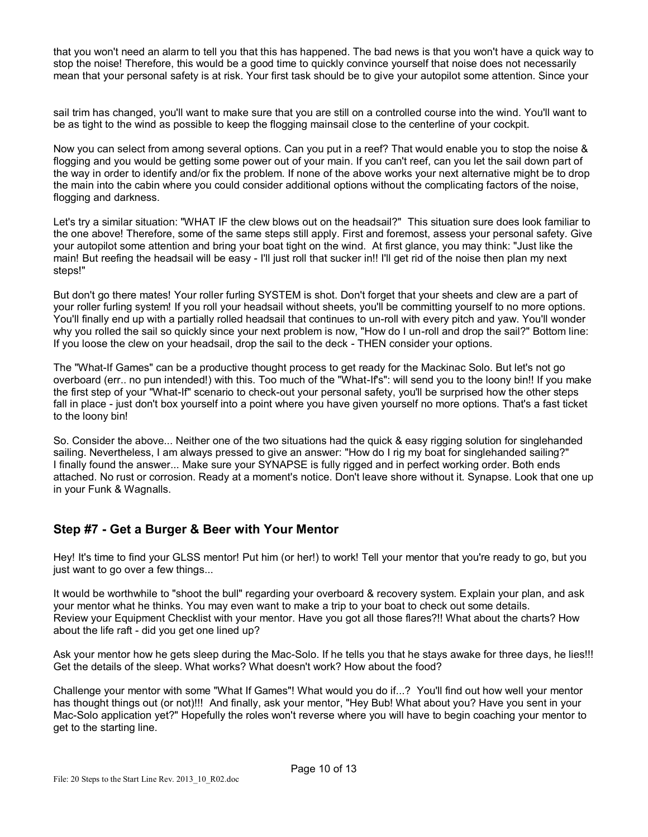that you won't need an alarm to tell you that this has happened. The bad news is that you won't have a quick way to stop the noise! Therefore, this would be a good time to quickly convince yourself that noise does not necessarily mean that your personal safety is at risk. Your first task should be to give your autopilot some attention. Since your

sail trim has changed, you'll want to make sure that you are still on a controlled course into the wind. You'll want to be as tight to the wind as possible to keep the flogging mainsail close to the centerline of your cockpit.

Now you can select from among several options. Can you put in a reef? That would enable you to stop the noise & flogging and you would be getting some power out of your main. If you can't reef, can you let the sail down part of the way in order to identify and/or fix the problem. If none of the above works your next alternative might be to drop the main into the cabin where you could consider additional options without the complicating factors of the noise, flogging and darkness.

Let's try a similar situation: "WHAT IF the clew blows out on the headsail?" This situation sure does look familiar to the one above! Therefore, some of the same steps still apply. First and foremost, assess your personal safety. Give your autopilot some attention and bring your boat tight on the wind. At first glance, you may think: "Just like the main! But reefing the headsail will be easy - I'll just roll that sucker in!! I'll get rid of the noise then plan my next steps!"

But don't go there mates! Your roller furling SYSTEM is shot. Don't forget that your sheets and clew are a part of your roller furling system! If you roll your headsail without sheets, you'll be committing yourself to no more options. You'll finally end up with a partially rolled headsail that continues to un-roll with every pitch and yaw. You'll wonder why you rolled the sail so quickly since your next problem is now, "How do I un-roll and drop the sail?" Bottom line: If you loose the clew on your headsail, drop the sail to the deck - THEN consider your options.

The "What-If Games" can be a productive thought process to get ready for the Mackinac Solo. But let's not go overboard (err.. no pun intended!) with this. Too much of the "What-If's": will send you to the loony bin!! If you make the first step of your "What-If" scenario to check-out your personal safety, you'll be surprised how the other steps fall in place - just don't box yourself into a point where you have given yourself no more options. That's a fast ticket to the loony bin!

So. Consider the above... Neither one of the two situations had the quick & easy rigging solution for singlehanded sailing. Nevertheless, I am always pressed to give an answer: "How do I rig my boat for singlehanded sailing?" I finally found the answer... Make sure your SYNAPSE is fully rigged and in perfect working order. Both ends attached. No rust or corrosion. Ready at a moment's notice. Don't leave shore without it. Synapse. Look that one up in your Funk & Wagnalls.

### **Step #7 - Get a Burger & Beer with Your Mentor**

Hey! It's time to find your GLSS mentor! Put him (or her!) to work! Tell your mentor that you're ready to go, but you just want to go over a few things...

It would be worthwhile to "shoot the bull" regarding your overboard & recovery system. Explain your plan, and ask your mentor what he thinks. You may even want to make a trip to your boat to check out some details. Review your Equipment Checklist with your mentor. Have you got all those flares?!! What about the charts? How about the life raft - did you get one lined up?

Ask your mentor how he gets sleep during the Mac-Solo. If he tells you that he stays awake for three days, he lies!!! Get the details of the sleep. What works? What doesn't work? How about the food?

Challenge your mentor with some "What If Games"! What would you do if...? You'll find out how well your mentor has thought things out (or not)!!! And finally, ask your mentor, "Hey Bub! What about you? Have you sent in your Mac-Solo application yet?" Hopefully the roles won't reverse where you will have to begin coaching your mentor to get to the starting line.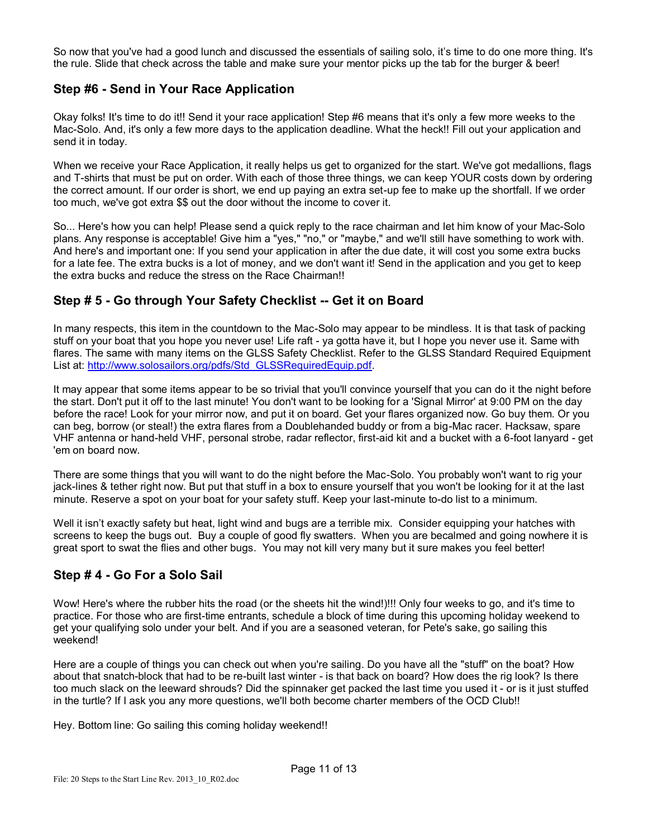So now that you've had a good lunch and discussed the essentials of sailing solo, it's time to do one more thing. It's the rule. Slide that check across the table and make sure your mentor picks up the tab for the burger & beer!

# **Step #6 - Send in Your Race Application**

Okay folks! It's time to do it!! Send it your race application! Step #6 means that it's only a few more weeks to the Mac-Solo. And, it's only a few more days to the application deadline. What the heck!! Fill out your application and send it in today.

When we receive your Race Application, it really helps us get to organized for the start. We've got medallions, flags and T-shirts that must be put on order. With each of those three things, we can keep YOUR costs down by ordering the correct amount. If our order is short, we end up paying an extra set-up fee to make up the shortfall. If we order too much, we've got extra \$\$ out the door without the income to cover it.

So... Here's how you can help! Please send a quick reply to the race chairman and let him know of your Mac-Solo plans. Any response is acceptable! Give him a "yes," "no," or "maybe," and we'll still have something to work with. And here's and important one: If you send your application in after the due date, it will cost you some extra bucks for a late fee. The extra bucks is a lot of money, and we don't want it! Send in the application and you get to keep the extra bucks and reduce the stress on the Race Chairman!!

# **Step # 5 - Go through Your Safety Checklist -- Get it on Board**

In many respects, this item in the countdown to the Mac-Solo may appear to be mindless. It is that task of packing stuff on your boat that you hope you never use! Life raft - ya gotta have it, but I hope you never use it. Same with flares. The same with many items on the GLSS Safety Checklist. Refer to the GLSS Standard Required Equipment List at: [http://www.solosailors.org/pdfs/Std\\_GLSSRequiredEquip.pdf.](http://www.solosailors.org/pdfs/Std_GLSSRequiredEquip.pdf)

It may appear that some items appear to be so trivial that you'll convince yourself that you can do it the night before the start. Don't put it off to the last minute! You don't want to be looking for a 'Signal Mirror' at 9:00 PM on the day before the race! Look for your mirror now, and put it on board. Get your flares organized now. Go buy them. Or you can beg, borrow (or steal!) the extra flares from a Doublehanded buddy or from a big-Mac racer. Hacksaw, spare VHF antenna or hand-held VHF, personal strobe, radar reflector, first-aid kit and a bucket with a 6-foot lanyard - get 'em on board now.

There are some things that you will want to do the night before the Mac-Solo. You probably won't want to rig your jack-lines & tether right now. But put that stuff in a box to ensure yourself that you won't be looking for it at the last minute. Reserve a spot on your boat for your safety stuff. Keep your last-minute to-do list to a minimum.

Well it isn't exactly safety but heat, light wind and bugs are a terrible mix. Consider equipping your hatches with screens to keep the bugs out. Buy a couple of good fly swatters. When you are becalmed and going nowhere it is great sport to swat the flies and other bugs. You may not kill very many but it sure makes you feel better!

### **Step # 4 - Go For a Solo Sail**

Wow! Here's where the rubber hits the road (or the sheets hit the wind!)!!! Only four weeks to go, and it's time to practice. For those who are first-time entrants, schedule a block of time during this upcoming holiday weekend to get your qualifying solo under your belt. And if you are a seasoned veteran, for Pete's sake, go sailing this weekend!

Here are a couple of things you can check out when you're sailing. Do you have all the "stuff" on the boat? How about that snatch-block that had to be re-built last winter - is that back on board? How does the rig look? Is there too much slack on the leeward shrouds? Did the spinnaker get packed the last time you used it - or is it just stuffed in the turtle? If I ask you any more questions, we'll both become charter members of the OCD Club!!

Hey. Bottom line: Go sailing this coming holiday weekend!!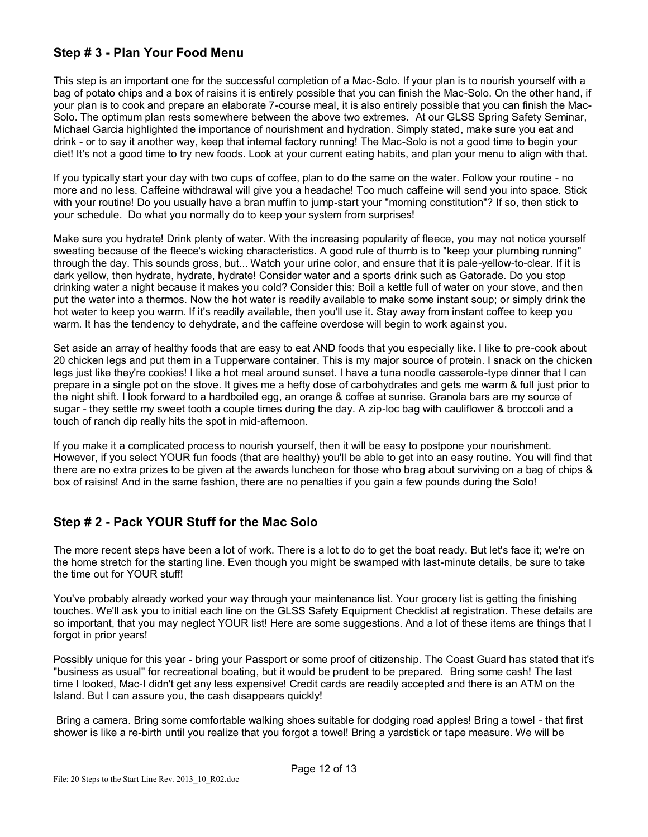# **Step # 3 - Plan Your Food Menu**

This step is an important one for the successful completion of a Mac-Solo. If your plan is to nourish yourself with a bag of potato chips and a box of raisins it is entirely possible that you can finish the Mac-Solo. On the other hand, if your plan is to cook and prepare an elaborate 7-course meal, it is also entirely possible that you can finish the Mac-Solo. The optimum plan rests somewhere between the above two extremes. At our GLSS Spring Safety Seminar, Michael Garcia highlighted the importance of nourishment and hydration. Simply stated, make sure you eat and drink - or to say it another way, keep that internal factory running! The Mac-Solo is not a good time to begin your diet! It's not a good time to try new foods. Look at your current eating habits, and plan your menu to align with that.

If you typically start your day with two cups of coffee, plan to do the same on the water. Follow your routine - no more and no less. Caffeine withdrawal will give you a headache! Too much caffeine will send you into space. Stick with your routine! Do you usually have a bran muffin to jump-start your "morning constitution"? If so, then stick to your schedule. Do what you normally do to keep your system from surprises!

Make sure you hydrate! Drink plenty of water. With the increasing popularity of fleece, you may not notice yourself sweating because of the fleece's wicking characteristics. A good rule of thumb is to "keep your plumbing running" through the day. This sounds gross, but... Watch your urine color, and ensure that it is pale-yellow-to-clear. If it is dark yellow, then hydrate, hydrate, hydrate! Consider water and a sports drink such as Gatorade. Do you stop drinking water a night because it makes you cold? Consider this: Boil a kettle full of water on your stove, and then put the water into a thermos. Now the hot water is readily available to make some instant soup; or simply drink the hot water to keep you warm. If it's readily available, then you'll use it. Stay away from instant coffee to keep you warm. It has the tendency to dehydrate, and the caffeine overdose will begin to work against you.

Set aside an array of healthy foods that are easy to eat AND foods that you especially like. I like to pre-cook about 20 chicken legs and put them in a Tupperware container. This is my major source of protein. I snack on the chicken legs just like they're cookies! I like a hot meal around sunset. I have a tuna noodle casserole-type dinner that I can prepare in a single pot on the stove. It gives me a hefty dose of carbohydrates and gets me warm & full just prior to the night shift. I look forward to a hardboiled egg, an orange & coffee at sunrise. Granola bars are my source of sugar - they settle my sweet tooth a couple times during the day. A zip-loc bag with cauliflower & broccoli and a touch of ranch dip really hits the spot in mid-afternoon.

If you make it a complicated process to nourish yourself, then it will be easy to postpone your nourishment. However, if you select YOUR fun foods (that are healthy) you'll be able to get into an easy routine. You will find that there are no extra prizes to be given at the awards luncheon for those who brag about surviving on a bag of chips & box of raisins! And in the same fashion, there are no penalties if you gain a few pounds during the Solo!

### **Step # 2 - Pack YOUR Stuff for the Mac Solo**

The more recent steps have been a lot of work. There is a lot to do to get the boat ready. But let's face it; we're on the home stretch for the starting line. Even though you might be swamped with last-minute details, be sure to take the time out for YOUR stuff!

You've probably already worked your way through your maintenance list. Your grocery list is getting the finishing touches. We'll ask you to initial each line on the GLSS Safety Equipment Checklist at registration. These details are so important, that you may neglect YOUR list! Here are some suggestions. And a lot of these items are things that I forgot in prior years!

Possibly unique for this year - bring your Passport or some proof of citizenship. The Coast Guard has stated that it's "business as usual" for recreational boating, but it would be prudent to be prepared. Bring some cash! The last time I looked, Mac-I didn't get any less expensive! Credit cards are readily accepted and there is an ATM on the Island. But I can assure you, the cash disappears quickly!

Bring a camera. Bring some comfortable walking shoes suitable for dodging road apples! Bring a towel - that first shower is like a re-birth until you realize that you forgot a towel! Bring a yardstick or tape measure. We will be